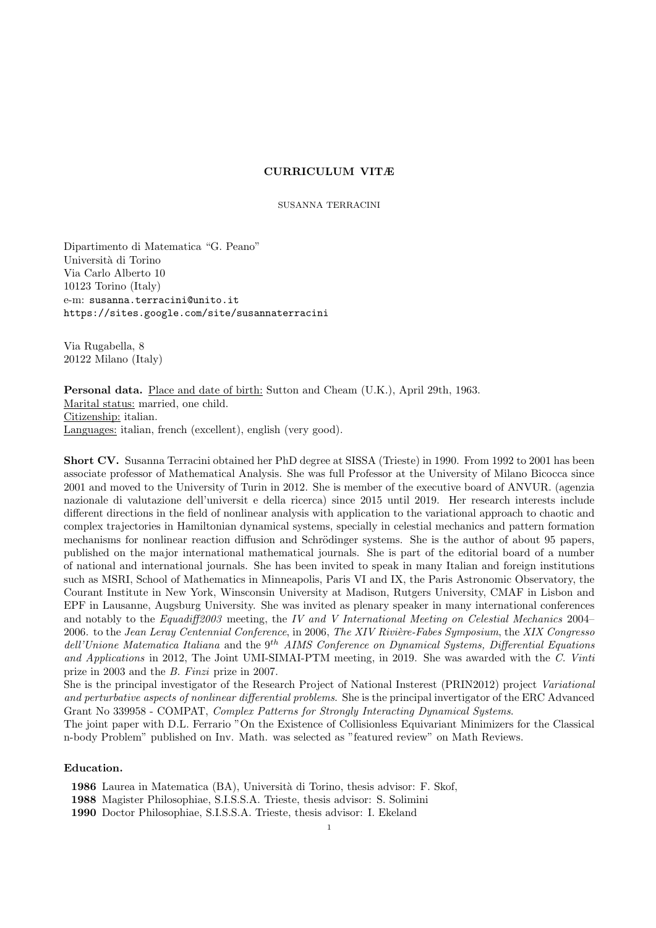## CURRICULUM VITÆ

SUSANNA TERRACINI

Dipartimento di Matematica "G. Peano" Universit`a di Torino Via Carlo Alberto 10 10123 Torino (Italy) e-m: susanna.terracini@unito.it https://sites.google.com/site/susannaterracini

Via Rugabella, 8 20122 Milano (Italy)

Personal data. Place and date of birth: Sutton and Cheam (U.K.), April 29th, 1963. Marital status: married, one child. Citizenship: italian. Languages: italian, french (excellent), english (very good).

Short CV. Susanna Terracini obtained her PhD degree at SISSA (Trieste) in 1990. From 1992 to 2001 has been associate professor of Mathematical Analysis. She was full Professor at the University of Milano Bicocca since 2001 and moved to the University of Turin in 2012. She is member of the executive board of ANVUR. (agenzia nazionale di valutazione dell'universit e della ricerca) since 2015 until 2019. Her research interests include different directions in the field of nonlinear analysis with application to the variational approach to chaotic and complex trajectories in Hamiltonian dynamical systems, specially in celestial mechanics and pattern formation mechanisms for nonlinear reaction diffusion and Schrödinger systems. She is the author of about 95 papers, published on the major international mathematical journals. She is part of the editorial board of a number of national and international journals. She has been invited to speak in many Italian and foreign institutions such as MSRI, School of Mathematics in Minneapolis, Paris VI and IX, the Paris Astronomic Observatory, the Courant Institute in New York, Winsconsin University at Madison, Rutgers University, CMAF in Lisbon and EPF in Lausanne, Augsburg University. She was invited as plenary speaker in many international conferences and notably to the Equadiff2003 meeting, the IV and V International Meeting on Celestial Mechanics 2004– 2006. to the Jean Leray Centennial Conference, in 2006, The XIV Rivière-Fabes Symposium, the XIX Congresso dell'Unione Matematica Italiana and the  $9^{th}$  AIMS Conference on Dynamical Systems, Differential Equations and Applications in 2012, The Joint UMI-SIMAI-PTM meeting, in 2019. She was awarded with the C. Vinti prize in 2003 and the B. Finzi prize in 2007.

She is the principal investigator of the Research Project of National Insterest (PRIN2012) project Variational and perturbative aspects of nonlinear differential problems. She is the principal invertigator of the ERC Advanced Grant No 339958 - COMPAT, Complex Patterns for Strongly Interacting Dynamical Systems.

The joint paper with D.L. Ferrario "On the Existence of Collisionless Equivariant Minimizers for the Classical n-body Problem" published on Inv. Math. was selected as "featured review" on Math Reviews.

# Education.

1986 Laurea in Matematica (BA), Università di Torino, thesis advisor: F. Skof,

1988 Magister Philosophiae, S.I.S.S.A. Trieste, thesis advisor: S. Solimini

1990 Doctor Philosophiae, S.I.S.S.A. Trieste, thesis advisor: I. Ekeland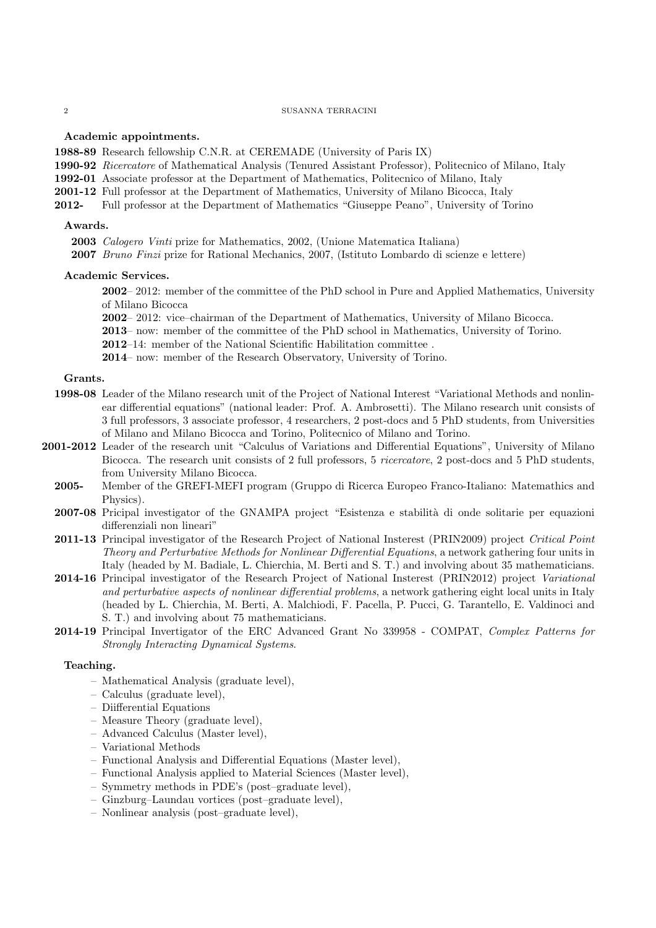## Academic appointments.

1988-89 Research fellowship C.N.R. at CEREMADE (University of Paris IX)

- 1990-92 Ricercatore of Mathematical Analysis (Tenured Assistant Professor), Politecnico of Milano, Italy
- 1992-01 Associate professor at the Department of Mathematics, Politecnico of Milano, Italy
- 2001-12 Full professor at the Department of Mathematics, University of Milano Bicocca, Italy
- 2012- Full professor at the Department of Mathematics "Giuseppe Peano", University of Torino

## Awards.

2003 Calogero Vinti prize for Mathematics, 2002, (Unione Matematica Italiana)

2007 Bruno Finzi prize for Rational Mechanics, 2007, (Istituto Lombardo di scienze e lettere)

## Academic Services.

2002– 2012: member of the committee of the PhD school in Pure and Applied Mathematics, University of Milano Bicocca

2002– 2012: vice–chairman of the Department of Mathematics, University of Milano Bicocca.

2013– now: member of the committee of the PhD school in Mathematics, University of Torino.

2012–14: member of the National Scientific Habilitation committee .

2014– now: member of the Research Observatory, University of Torino.

## Grants.

- 1998-08 Leader of the Milano research unit of the Project of National Interest "Variational Methods and nonlinear differential equations" (national leader: Prof. A. Ambrosetti). The Milano research unit consists of 3 full professors, 3 associate professor, 4 researchers, 2 post-docs and 5 PhD students, from Universities of Milano and Milano Bicocca and Torino, Politecnico of Milano and Torino.
- 2001-2012 Leader of the research unit "Calculus of Variations and Differential Equations", University of Milano Bicocca. The research unit consists of 2 full professors, 5 ricercatore, 2 post-docs and 5 PhD students, from University Milano Bicocca.
	- 2005- Member of the GREFI-MEFI program (Gruppo di Ricerca Europeo Franco-Italiano: Matemathics and Physics).
	- 2007-08 Pricipal investigator of the GNAMPA project "Esistenza e stabilità di onde solitarie per equazioni differenziali non lineari"
	- 2011-13 Principal investigator of the Research Project of National Insterest (PRIN2009) project Critical Point Theory and Perturbative Methods for Nonlinear Differential Equations, a network gathering four units in Italy (headed by M. Badiale, L. Chierchia, M. Berti and S. T.) and involving about 35 mathematicians.
	- 2014-16 Principal investigator of the Research Project of National Insterest (PRIN2012) project Variational and perturbative aspects of nonlinear differential problems, a network gathering eight local units in Italy (headed by L. Chierchia, M. Berti, A. Malchiodi, F. Pacella, P. Pucci, G. Tarantello, E. Valdinoci and S. T.) and involving about 75 mathematicians.
	- 2014-19 Principal Invertigator of the ERC Advanced Grant No 339958 COMPAT, Complex Patterns for Strongly Interacting Dynamical Systems.

#### Teaching.

- Mathematical Analysis (graduate level),
- Calculus (graduate level),
- Diifferential Equations
- Measure Theory (graduate level),
- Advanced Calculus (Master level),
- Variational Methods
- Functional Analysis and Differential Equations (Master level),
- Functional Analysis applied to Material Sciences (Master level),
- Symmetry methods in PDE's (post–graduate level),
- Ginzburg–Laundau vortices (post–graduate level),
- Nonlinear analysis (post–graduate level),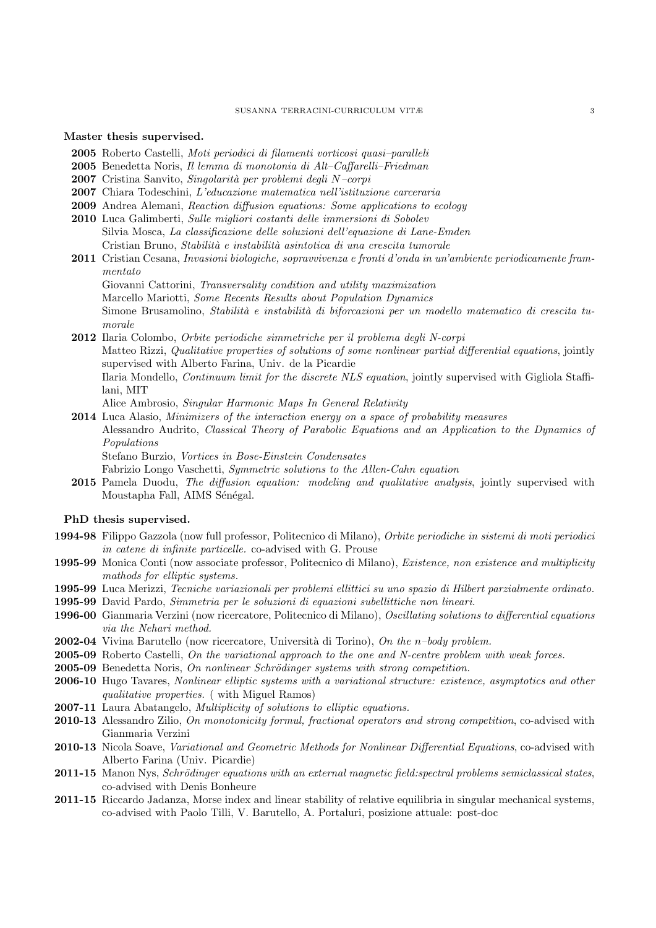Master thesis supervised.

- 2005 Roberto Castelli, Moti periodici di filamenti vorticosi quasi–paralleli
- 2005 Benedetta Noris, Il lemma di monotonia di Alt–Caffarelli–Friedman
- 2007 Cristina Sanvito, *Singolarità per problemi degli N–corpi*
- 2007 Chiara Todeschini, L'educazione matematica nell'istituzione carceraria
- 2009 Andrea Alemani, Reaction diffusion equations: Some applications to ecology
- 2010 Luca Galimberti, Sulle migliori costanti delle immersioni di Sobolev Silvia Mosca, La classificazione delle soluzioni dell'equazione di Lane-Emden Cristian Bruno, Stabilità e instabilità asintotica di una crescita tumorale
- 2011 Cristian Cesana, Invasioni biologiche, sopravvivenza e fronti d'onda in un'ambiente periodicamente frammentato
	- Giovanni Cattorini, Transversality condition and utility maximization Marcello Mariotti, Some Recents Results about Population Dynamics Simone Brusamolino, Stabilità e instabilità di biforcazioni per un modello matematico di crescita tumorale
- 2012 Ilaria Colombo, Orbite periodiche simmetriche per il problema degli N-corpi Matteo Rizzi, Qualitative properties of solutions of some nonlinear partial differential equations, jointly supervised with Alberto Farina, Univ. de la Picardie Ilaria Mondello, Continuum limit for the discrete NLS equation, jointly supervised with Gigliola Staffilani, MIT

Alice Ambrosio, Singular Harmonic Maps In General Relativity

- 2014 Luca Alasio, Minimizers of the interaction energy on a space of probability measures
	- Alessandro Audrito, Classical Theory of Parabolic Equations and an Application to the Dynamics of Populations
		- Stefano Burzio, Vortices in Bose-Einstein Condensates

Fabrizio Longo Vaschetti, Symmetric solutions to the Allen-Cahn equation

2015 Pamela Duodu, The diffusion equation: modeling and qualitative analysis, jointly supervised with Moustapha Fall, AIMS Sénégal.

## PhD thesis supervised.

- 1994-98 Filippo Gazzola (now full professor, Politecnico di Milano), Orbite periodiche in sistemi di moti periodici in catene di infinite particelle. co-advised with G. Prouse
- 1995-99 Monica Conti (now associate professor, Politecnico di Milano), *Existence, non existence and multiplicity* mathods for elliptic systems.
- 1995-99 Luca Merizzi, Tecniche variazionali per problemi ellittici su uno spazio di Hilbert parzialmente ordinato.
- 1995-99 David Pardo, Simmetria per le soluzioni di equazioni subellittiche non lineari.
- 1996-00 Gianmaria Verzini (now ricercatore, Politecnico di Milano), Oscillating solutions to differential equations via the Nehari method.
- 2002-04 Vivina Barutello (now ricercatore, Università di Torino), On the n–body problem.
- 2005-09 Roberto Castelli, On the variational approach to the one and N-centre problem with weak forces.
- 2005-09 Benedetta Noris, On nonlinear Schrödinger systems with strong competition.
- 2006-10 Hugo Tavares, Nonlinear elliptic systems with a variational structure: existence, asymptotics and other qualitative properties. ( with Miguel Ramos)
- 2007-11 Laura Abatangelo, *Multiplicity of solutions to elliptic equations*.
- 2010-13 Alessandro Zilio, On monotonicity formul, fractional operators and strong competition, co-advised with Gianmaria Verzini
- 2010-13 Nicola Soave, Variational and Geometric Methods for Nonlinear Differential Equations, co-advised with Alberto Farina (Univ. Picardie)
- 2011-15 Manon Nys, Schrödinger equations with an external magnetic field: spectral problems semiclassical states, co-advised with Denis Bonheure
- 2011-15 Riccardo Jadanza, Morse index and linear stability of relative equilibria in singular mechanical systems, co-advised with Paolo Tilli, V. Barutello, A. Portaluri, posizione attuale: post-doc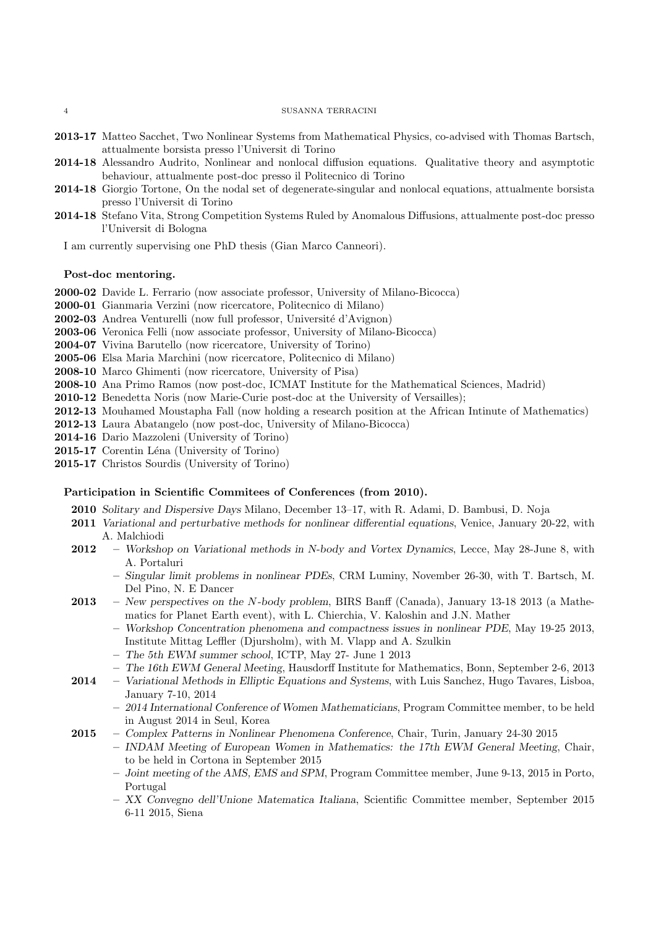- 2013-17 Matteo Sacchet, Two Nonlinear Systems from Mathematical Physics, co-advised with Thomas Bartsch, attualmente borsista presso l'Universit di Torino
- 2014-18 Alessandro Audrito, Nonlinear and nonlocal diffusion equations. Qualitative theory and asymptotic behaviour, attualmente post-doc presso il Politecnico di Torino
- 2014-18 Giorgio Tortone, On the nodal set of degenerate-singular and nonlocal equations, attualmente borsista presso l'Universit di Torino
- 2014-18 Stefano Vita, Strong Competition Systems Ruled by Anomalous Diffusions, attualmente post-doc presso l'Universit di Bologna

I am currently supervising one PhD thesis (Gian Marco Canneori).

## Post-doc mentoring.

2000-02 Davide L. Ferrario (now associate professor, University of Milano-Bicocca)

- 2000-01 Gianmaria Verzini (now ricercatore, Politecnico di Milano)
- 2002-03 Andrea Venturelli (now full professor, Université d'Avignon)
- 2003-06 Veronica Felli (now associate professor, University of Milano-Bicocca)
- 2004-07 Vivina Barutello (now ricercatore, University of Torino)
- 2005-06 Elsa Maria Marchini (now ricercatore, Politecnico di Milano)
- 2008-10 Marco Ghimenti (now ricercatore, University of Pisa)
- 2008-10 Ana Primo Ramos (now post-doc, ICMAT Institute for the Mathematical Sciences, Madrid)
- 2010-12 Benedetta Noris (now Marie-Curie post-doc at the University of Versailles);
- 2012-13 Mouhamed Moustapha Fall (now holding a research position at the African Intinute of Mathematics)
- 2012-13 Laura Abatangelo (now post-doc, University of Milano-Bicocca)
- 2014-16 Dario Mazzoleni (University of Torino)

2015-17 Corentin Léna (University of Torino)

2015-17 Christos Sourdis (University of Torino)

## Participation in Scientific Commitees of Conferences (from 2010).

2010 Solitary and Dispersive Days Milano, December 13–17, with R. Adami, D. Bambusi, D. Noja

- 2011 Variational and perturbative methods for nonlinear differential equations, Venice, January 20-22, with A. Malchiodi
- 2012 Workshop on Variational methods in N-body and Vortex Dynamics, Lecce, May 28-June 8, with A. Portaluri
	- Singular limit problems in nonlinear PDEs, CRM Luminy, November 26-30, with T. Bartsch, M. Del Pino, N. E Dancer
- 2013 New perspectives on the N-body problem, BIRS Banff (Canada), January 13-18 2013 (a Mathematics for Planet Earth event), with L. Chierchia, V. Kaloshin and J.N. Mather
	- Workshop Concentration phenomena and compactness issues in nonlinear PDE, May 19-25 2013, Institute Mittag Leffler (Djursholm), with M. Vlapp and A. Szulkin
	- The 5th EWM summer school, ICTP, May 27- June 1 2013
	- The 16th EWM General Meeting, Hausdorff Institute for Mathematics, Bonn, September 2-6, 2013
- 2014 Variational Methods in Elliptic Equations and Systems, with Luis Sanchez, Hugo Tavares, Lisboa, January 7-10, 2014
	- 2014 International Conference of Women Mathematicians, Program Committee member, to be held in August 2014 in Seul, Korea
- 2015 Complex Patterns in Nonlinear Phenomena Conference, Chair, Turin, January 24-30 2015
	- INDAM Meeting of European Women in Mathematics: the 17th EWM General Meeting, Chair, to be held in Cortona in September 2015
	- Joint meeting of the AMS, EMS and SPM, Program Committee member, June 9-13, 2015 in Porto, Portugal
	- XX Convegno dell'Unione Matematica Italiana, Scientific Committee member, September 2015 6-11 2015, Siena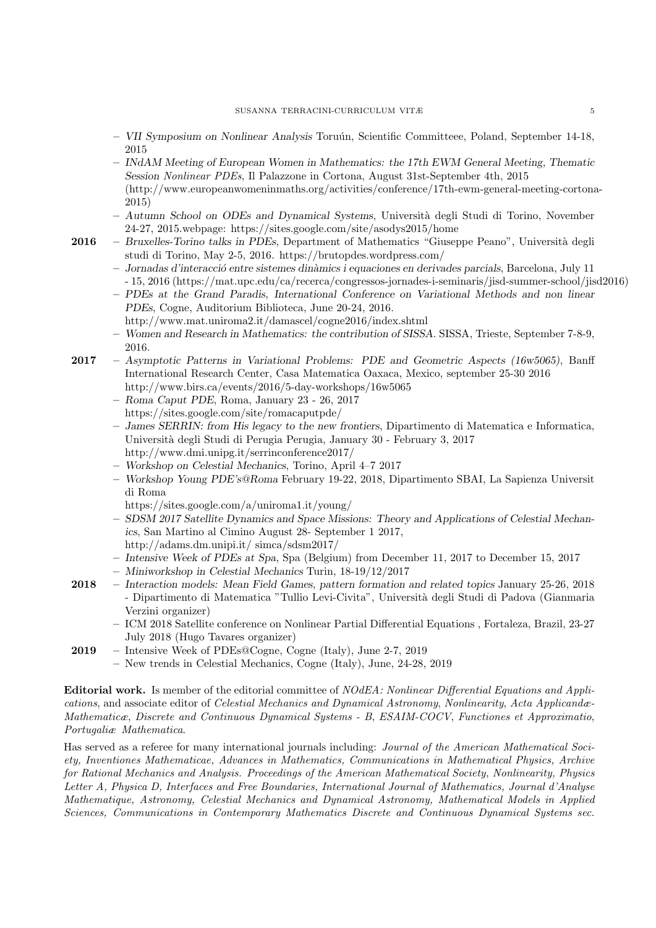- VII Symposium on Nonlinear Analysis Toru´un, Scientific Committeee, Poland, September 14-18, 2015
- INdAM Meeting of European Women in Mathematics: the 17th EWM General Meeting, Thematic Session Nonlinear PDEs, Il Palazzone in Cortona, August 31st-September 4th, 2015 (http://www.europeanwomeninmaths.org/activities/conference/17th-ewm-general-meeting-cortona-2015)
- Autumn School on ODEs and Dynamical Systems, Universit`a degli Studi di Torino, November 24-27, 2015.webpage: https://sites.google.com/site/asodys2015/home
- 2016 Bruxelles-Torino talks in PDEs, Department of Mathematics "Giuseppe Peano", Università degli studi di Torino, May 2-5, 2016. https://brutopdes.wordpress.com/
	- Jornadas d'interacci´o entre sistemes din`amics i equaciones en derivades parcials, Barcelona, July 11 - 15, 2016 (https://mat.upc.edu/ca/recerca/congressos-jornades-i-seminaris/jisd-summer-school/jisd2016)
	- PDEs at the Grand Paradis, International Conference on Variational Methods and non linear PDEs, Cogne, Auditorium Biblioteca, June 20-24, 2016.
		- http://www.mat.uniroma2.it/damascel/cogne2016/index.shtml
	- Women and Research in Mathematics: the contribution of SISSA. SISSA, Trieste, September 7-8-9, 2016.
- 2017 Asymptotic Patterns in Variational Problems: PDE and Geometric Aspects (16w5065), Banff International Research Center, Casa Matematica Oaxaca, Mexico, september 25-30 2016 http://www.birs.ca/events/2016/5-day-workshops/16w5065
	- Roma Caput PDE, Roma, January 23 26, 2017 https://sites.google.com/site/romacaputpde/
	- James SERRIN: from His legacy to the new frontiers, Dipartimento di Matematica e Informatica, Universit`a degli Studi di Perugia Perugia, January 30 - February 3, 2017 http://www.dmi.unipg.it/serrinconference2017/
	- Workshop on Celestial Mechanics, Torino, April 4–7 2017
	- Workshop Young PDE's@Roma February 19-22, 2018, Dipartimento SBAI, La Sapienza Universit di Roma
		- https://sites.google.com/a/uniroma1.it/young/
	- SDSM 2017 Satellite Dynamics and Space Missions: Theory and Applications of Celestial Mechanics, San Martino al Cimino August 28- September 1 2017, http://adams.dm.unipi.it/ simca/sdsm2017/
	- Intensive Week of PDEs at Spa, Spa (Belgium) from December 11, 2017 to December 15, 2017
	- Miniworkshop in Celestial Mechanics Turin, 18-19/12/2017
- 2018 Interaction models: Mean Field Games, pattern formation and related topics January 25-26, 2018 - Dipartimento di Matematica "Tullio Levi-Civita", Università degli Studi di Padova (Gianmaria Verzini organizer)
	- ICM 2018 Satellite conference on Nonlinear Partial Differential Equations , Fortaleza, Brazil, 23-27 July 2018 (Hugo Tavares organizer)
- 2019 Intensive Week of PDEs@Cogne, Cogne (Italy), June 2-7, 2019
	- New trends in Celestial Mechanics, Cogne (Italy), June, 24-28, 2019

Editorial work. Is member of the editorial committee of NOdEA: Nonlinear Differential Equations and Applications, and associate editor of Celestial Mechanics and Dynamical Astronomy, Nonlinearity, Acta Applicandæ-Mathematicæ, Discrete and Continuous Dynamical Systems - B, ESAIM-COCV, Functiones et Approximatio, Portugaliæ Mathematica.

Has served as a referee for many international journals including: Journal of the American Mathematical Society, Inventiones Mathematicae, Advances in Mathematics, Communications in Mathematical Physics, Archive for Rational Mechanics and Analysis. Proceedings of the American Mathematical Society, Nonlinearity, Physics Letter A, Physica D, Interfaces and Free Boundaries, International Journal of Mathematics, Journal d'Analyse Mathematique, Astronomy, Celestial Mechanics and Dynamical Astronomy, Mathematical Models in Applied Sciences, Communications in Contemporary Mathematics Discrete and Continuous Dynamical Systems sec.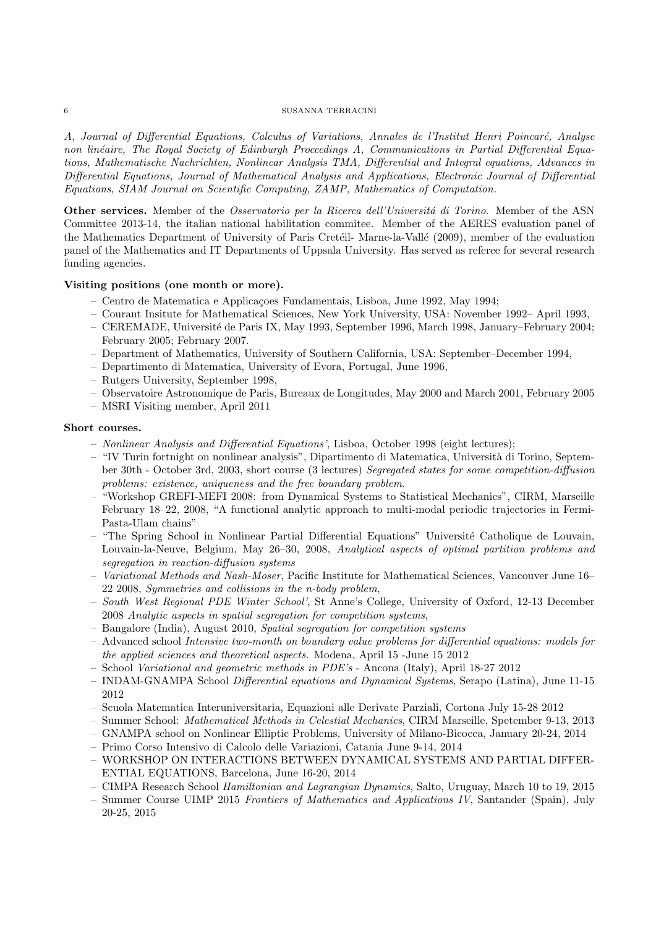A, Journal of Differential Equations, Calculus of Variations, Annales de l'Institut Henri Poincaré, Analyse non linéaire, The Royal Society of Edinburgh Proceedings A, Communications in Partial Differential Equations, Mathematische Nachrichten, Nonlinear Analysis TMA, Differential and Integral equations, Advances in Differential Equations, Journal of Mathematical Analysis and Applications, Electronic Journal of Differential Equations, SIAM Journal on Scientific Computing, ZAMP, Mathematics of Computation.

Other services. Member of the Osservatorio per la Ricerca dell'Università di Torino. Member of the ASN Committee 2013-14, the italian national habilitation commitee. Member of the AERES evaluation panel of the Mathematics Department of University of Paris Crete<sup>il</sup>- Marne-la-Vallé (2009), member of the evaluation panel of the Mathematics and IT Departments of Uppsala University. Has served as referee for several research funding agencies.

# Visiting positions (one month or more).

- Centro de Matematica e Applica¸coes Fundamentais, Lisboa, June 1992, May 1994;
- Courant Insitute for Mathematical Sciences, New York University, USA: November 1992– April 1993,
- CEREMADE, Universit´e de Paris IX, May 1993, September 1996, March 1998, January–February 2004; February 2005; February 2007.
- Department of Mathematics, University of Southern California, USA: September–December 1994,
- Departimento di Matematica, University of Evora, Portugal, June 1996,
- Rutgers University, September 1998,
- Observatoire Astronomique de Paris, Bureaux de Longitudes, May 2000 and March 2001, February 2005
- MSRI Visiting member, April 2011

## Short courses.

- Nonlinear Analysis and Differential Equations', Lisboa, October 1998 (eight lectures);
- "IV Turin fortnight on nonlinear analysis", Dipartimento di Matematica, Universit`a di Torino, September 30th - October 3rd, 2003, short course (3 lectures) Segregated states for some competition-diffusion problems: existence, uniqueness and the free boundary problem.
- "Workshop GREFI-MEFI 2008: from Dynamical Systems to Statistical Mechanics", CIRM, Marseille February 18–22, 2008, "A functional analytic approach to multi-modal periodic trajectories in Fermi-Pasta-Ulam chains"
- "The Spring School in Nonlinear Partial Differential Equations" Universit´e Catholique de Louvain, Louvain-la-Neuve, Belgium, May 26–30, 2008, Analytical aspects of optimal partition problems and segregation in reaction-diffusion systems
- Variational Methods and Nash-Moser, Pacific Institute for Mathematical Sciences, Vancouver June 16– 22 2008, Symmetries and collisions in the n-body problem,
- South West Regional PDE Winter School', St Anne's College, University of Oxford, 12-13 December 2008 Analytic aspects in spatial segregation for competition systems,
- Bangalore (India), August 2010, Spatial segregation for competition systems
- Advanced school Intensive two-month on boundary value problems for differential equations: models for the applied sciences and theoretical aspects. Modena, April 15 -June 15 2012
- School Variational and geometric methods in PDE's Ancona (Italy), April 18-27 2012
- INDAM-GNAMPA School Differential equations and Dynamical Systems, Serapo (Latina), June 11-15 2012
- Scuola Matematica Interuniversitaria, Equazioni alle Derivate Parziali, Cortona July 15-28 2012
- Summer School: Mathematical Methods in Celestial Mechanics, CIRM Marseille, Spetember 9-13, 2013
- GNAMPA school on Nonlinear Elliptic Problems, University of Milano-Bicocca, January 20-24, 2014
- Primo Corso Intensivo di Calcolo delle Variazioni, Catania June 9-14, 2014
- WORKSHOP ON INTERACTIONS BETWEEN DYNAMICAL SYSTEMS AND PARTIAL DIFFER-ENTIAL EQUATIONS, Barcelona, June 16-20, 2014
- CIMPA Research School Hamiltonian and Lagrangian Dynamics, Salto, Uruguay, March 10 to 19, 2015
- Summer Course UIMP 2015 Frontiers of Mathematics and Applications IV, Santander (Spain), July 20-25, 2015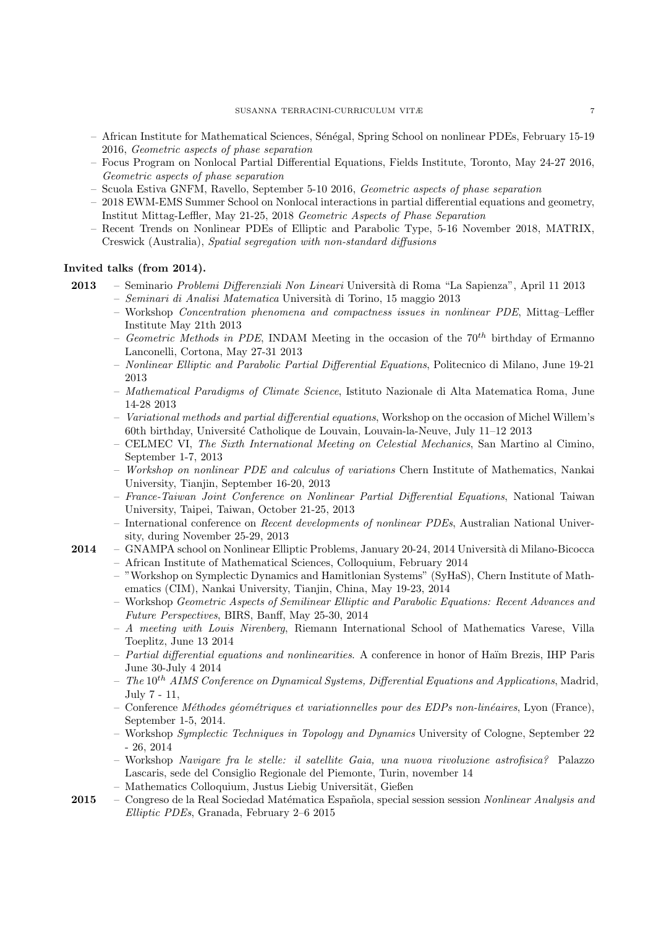- African Institute for Mathematical Sciences, S´en´egal, Spring School on nonlinear PDEs, February 15-19 2016, Geometric aspects of phase separation
- Focus Program on Nonlocal Partial Differential Equations, Fields Institute, Toronto, May 24-27 2016, Geometric aspects of phase separation
- Scuola Estiva GNFM, Ravello, September 5-10 2016, Geometric aspects of phase separation
- 2018 EWM-EMS Summer School on Nonlocal interactions in partial differential equations and geometry, Institut Mittag-Leffler, May 21-25, 2018 Geometric Aspects of Phase Separation
- Recent Trends on Nonlinear PDEs of Elliptic and Parabolic Type, 5-16 November 2018, MATRIX, Creswick (Australia), Spatial segregation with non-standard diffusions

#### Invited talks (from 2014).

- 2013 Seminario Problemi Differenziali Non Lineari Universit`a di Roma "La Sapienza", April 11 2013
	- Seminari di Analisi Matematica Universit`a di Torino, 15 maggio 2013
		- Workshop Concentration phenomena and compactness issues in nonlinear PDE, Mittag–Leffler Institute May 21th 2013
		- Geometric Methods in PDE, INDAM Meeting in the occasion of the  $70^{th}$  birthday of Ermanno Lanconelli, Cortona, May 27-31 2013
		- Nonlinear Elliptic and Parabolic Partial Differential Equations, Politecnico di Milano, June 19-21 2013
		- Mathematical Paradigms of Climate Science, Istituto Nazionale di Alta Matematica Roma, June 14-28 2013
		- Variational methods and partial differential equations, Workshop on the occasion of Michel Willem's 60th birthday, Université Catholique de Louvain, Louvain-la-Neuve, July  $11-12$  2013
		- CELMEC VI, The Sixth International Meeting on Celestial Mechanics, San Martino al Cimino, September 1-7, 2013
		- Workshop on nonlinear PDE and calculus of variations Chern Institute of Mathematics, Nankai University, Tianjin, September 16-20, 2013
		- France-Taiwan Joint Conference on Nonlinear Partial Differential Equations, National Taiwan University, Taipei, Taiwan, October 21-25, 2013
		- International conference on Recent developments of nonlinear PDEs, Australian National University, during November 25-29, 2013
- 2014 GNAMPA school on Nonlinear Elliptic Problems, January 20-24, 2014 Università di Milano-Bicocca
	- African Institute of Mathematical Sciences, Colloquium, February 2014
	- "Workshop on Symplectic Dynamics and Hamitlonian Systems" (SyHaS), Chern Institute of Mathematics (CIM), Nankai University, Tianjin, China, May 19-23, 2014
	- Workshop Geometric Aspects of Semilinear Elliptic and Parabolic Equations: Recent Advances and Future Perspectives, BIRS, Banff, May 25-30, 2014
	- A meeting with Louis Nirenberg, Riemann International School of Mathematics Varese, Villa Toeplitz, June 13 2014
	- $-$  Partial differential equations and nonlinearities. A conference in honor of Haïm Brezis, IHP Paris June 30-July 4 2014
	- The  $10^{th}$  AIMS Conference on Dynamical Systems, Differential Equations and Applications, Madrid, July 7 - 11,
	- $-$  Conference *Méthodes géométriques et variationnelles pour des EDPs non-linéaires*, Lyon (France), September 1-5, 2014.
	- Workshop Symplectic Techniques in Topology and Dynamics University of Cologne, September 22 - 26, 2014
	- Workshop Navigare fra le stelle: il satellite Gaia, una nuova rivoluzione astrofisica? Palazzo Lascaris, sede del Consiglio Regionale del Piemonte, Turin, november 14
	- Mathematics Colloquium, Justus Liebig Universität, Gießen
- 2015 Congreso de la Real Sociedad Matématica Española, special session session Nonlinear Analysis and Elliptic PDEs, Granada, February 2–6 2015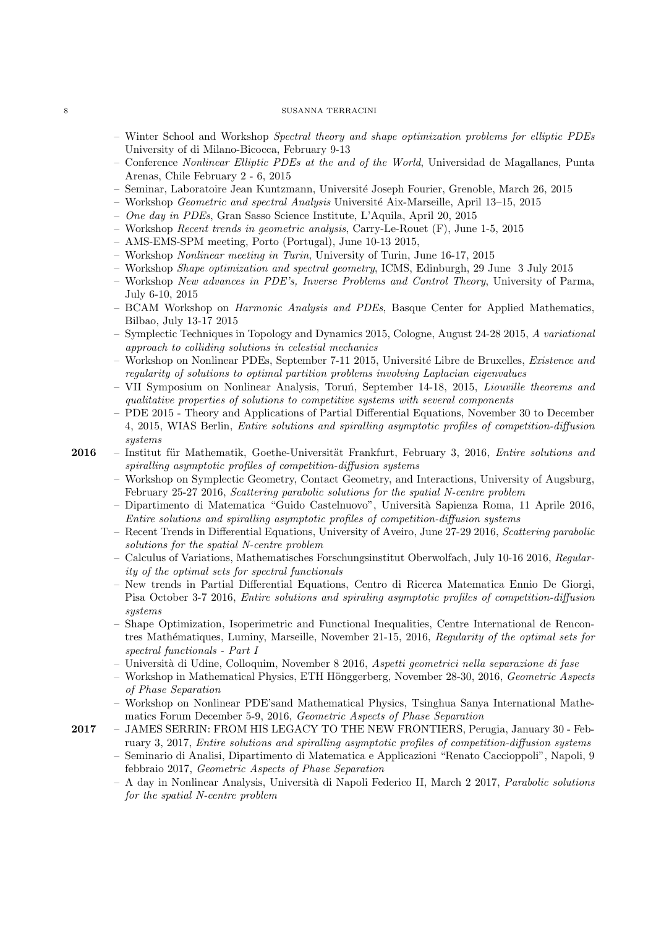- Winter School and Workshop Spectral theory and shape optimization problems for elliptic PDEs University of di Milano-Bicocca, February 9-13
- Conference Nonlinear Elliptic PDEs at the and of the World, Universidad de Magallanes, Punta Arenas, Chile February 2 - 6, 2015
- Seminar, Laboratoire Jean Kuntzmann, Universit´e Joseph Fourier, Grenoble, March 26, 2015
- Workshop Geometric and spectral Analysis Universit´e Aix-Marseille, April 13–15, 2015
- One day in PDEs, Gran Sasso Science Institute, L'Aquila, April 20, 2015
- Workshop Recent trends in geometric analysis, Carry-Le-Rouet (F), June 1-5, 2015
- AMS-EMS-SPM meeting, Porto (Portugal), June 10-13 2015,
- Workshop Nonlinear meeting in Turin, University of Turin, June 16-17, 2015
- Workshop Shape optimization and spectral geometry, ICMS, Edinburgh, 29 June 3 July 2015
- Workshop New advances in PDE's, Inverse Problems and Control Theory, University of Parma, July 6-10, 2015
- BCAM Workshop on Harmonic Analysis and PDEs, Basque Center for Applied Mathematics, Bilbao, July 13-17 2015
- Symplectic Techniques in Topology and Dynamics 2015, Cologne, August 24-28 2015, A variational approach to colliding solutions in celestial mechanics
- Workshop on Nonlinear PDEs, September 7-11 2015, Université Libre de Bruxelles, Existence and regularity of solutions to optimal partition problems involving Laplacian eigenvalues
- VII Symposium on Nonlinear Analysis, Toruń, September 14-18, 2015, *Liouville theorems and* qualitative properties of solutions to competitive systems with several components
- PDE 2015 Theory and Applications of Partial Differential Equations, November 30 to December 4, 2015, WIAS Berlin, Entire solutions and spiralling asymptotic profiles of competition-diffusion systems
- 2016 Institut für Mathematik, Goethe-Universität Frankfurt, February 3, 2016, Entire solutions and spiralling asymptotic profiles of competition-diffusion systems
	- Workshop on Symplectic Geometry, Contact Geometry, and Interactions, University of Augsburg, February 25-27 2016, Scattering parabolic solutions for the spatial N-centre problem
	- Dipartimento di Matematica "Guido Castelnuovo", Universit`a Sapienza Roma, 11 Aprile 2016, Entire solutions and spiralling asymptotic profiles of competition-diffusion systems
	- Recent Trends in Differential Equations, University of Aveiro, June 27-29 2016, Scattering parabolic solutions for the spatial N-centre problem
	- Calculus of Variations, Mathematisches Forschungsinstitut Oberwolfach, July 10-16 2016, Regularity of the optimal sets for spectral functionals
	- New trends in Partial Differential Equations, Centro di Ricerca Matematica Ennio De Giorgi, Pisa October 3-7 2016, Entire solutions and spiraling asymptotic profiles of competition-diffusion systems
	- Shape Optimization, Isoperimetric and Functional Inequalities, Centre International de Rencontres Mathématiques, Luminy, Marseille, November 21-15, 2016, Regularity of the optimal sets for spectral functionals - Part I
	- $-$  Università di Udine, Colloquim, November 8 2016, Aspetti geometrici nella separazione di fase
	- Workshop in Mathematical Physics, ETH Hönggerberg, November 28-30, 2016, Geometric Aspects of Phase Separation
	- Workshop on Nonlinear PDE'sand Mathematical Physics, Tsinghua Sanya International Mathematics Forum December 5-9, 2016, Geometric Aspects of Phase Separation
- 2017 JAMES SERRIN: FROM HIS LEGACY TO THE NEW FRONTIERS, Perugia, January 30 February 3, 2017, Entire solutions and spiralling asymptotic profiles of competition-diffusion systems
	- Seminario di Analisi, Dipartimento di Matematica e Applicazioni "Renato Caccioppoli", Napoli, 9 febbraio 2017, Geometric Aspects of Phase Separation
	- $A$  day in Nonlinear Analysis, Università di Napoli Federico II, March 2 2017, *Parabolic solutions* for the spatial N-centre problem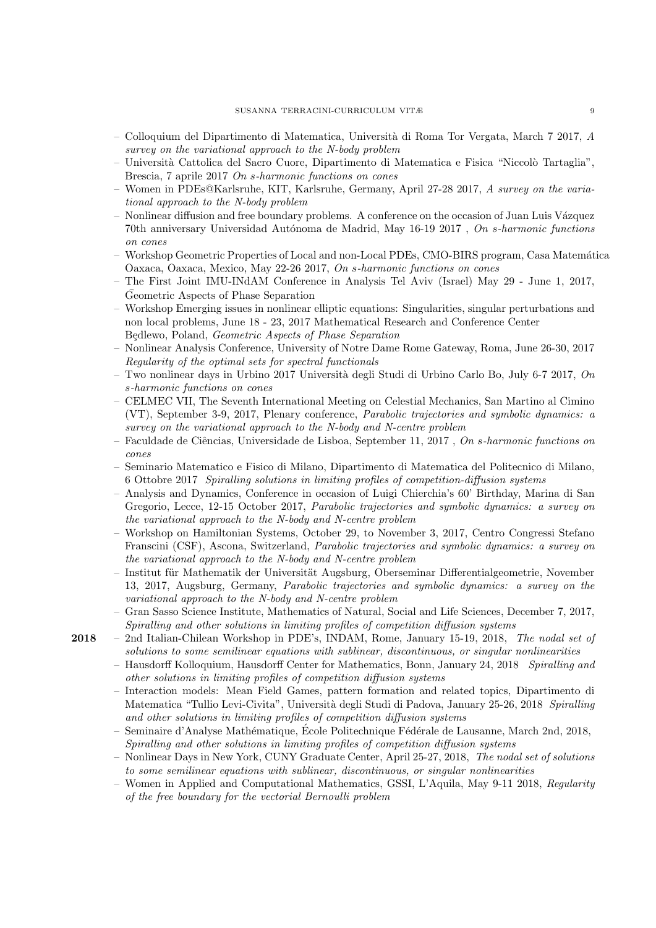- Colloquium del Dipartimento di Matematica, Universit`a di Roma Tor Vergata, March 7 2017, A survey on the variational approach to the N-body problem
- Universit`a Cattolica del Sacro Cuore, Dipartimento di Matematica e Fisica "Niccol`o Tartaglia", Brescia, 7 aprile 2017 On s-harmonic functions on cones
- Women in PDEs@Karlsruhe, KIT, Karlsruhe, Germany, April 27-28 2017, A survey on the variational approach to the N-body problem
- Nonlinear diffusion and free boundary problems. A conference on the occasion of Juan Luis Vázquez 70th anniversary Universidad Autónoma de Madrid, May 16-19 2017, On s-harmonic functions on cones
- Workshop Geometric Properties of Local and non-Local PDEs, CMO-BIRS program, Casa Matem´atica Oaxaca, Oaxaca, Mexico, May 22-26 2017, On s-harmonic functions on cones
- The First Joint IMU-INdAM Conference in Analysis Tel Aviv (Israel) May 29 June 1, 2017, Geometric Aspects of Phase Separation
- Workshop Emerging issues in nonlinear elliptic equations: Singularities, singular perturbations and non local problems, June 18 - 23, 2017 Mathematical Research and Conference Center Będlewo, Poland, Geometric Aspects of Phase Separation
- Nonlinear Analysis Conference, University of Notre Dame Rome Gateway, Roma, June 26-30, 2017 Regularity of the optimal sets for spectral functionals
- Two nonlinear days in Urbino 2017 Università degli Studi di Urbino Carlo Bo, July 6-7 2017, On s-harmonic functions on cones
- CELMEC VII, The Seventh International Meeting on Celestial Mechanics, San Martino al Cimino (VT), September 3-9, 2017, Plenary conference, Parabolic trajectories and symbolic dynamics: a survey on the variational approach to the N-body and N-centre problem
- $-$  Faculdade de Ciências, Universidade de Lisboa, September 11, 2017, On s-harmonic functions on cones
- Seminario Matematico e Fisico di Milano, Dipartimento di Matematica del Politecnico di Milano, 6 Ottobre 2017 Spiralling solutions in limiting profiles of competition-diffusion systems
- Analysis and Dynamics, Conference in occasion of Luigi Chierchia's 60' Birthday, Marina di San Gregorio, Lecce, 12-15 October 2017, Parabolic trajectories and symbolic dynamics: a survey on the variational approach to the N-body and N-centre problem
- Workshop on Hamiltonian Systems, October 29, to November 3, 2017, Centro Congressi Stefano Franscini (CSF), Ascona, Switzerland, Parabolic trajectories and symbolic dynamics: a survey on the variational approach to the N-body and N-centre problem
- Institut für Mathematik der Universität Augsburg, Oberseminar Differentialgeometrie, November 13, 2017, Augsburg, Germany, Parabolic trajectories and symbolic dynamics: a survey on the variational approach to the N-body and N-centre problem
- Gran Sasso Science Institute, Mathematics of Natural, Social and Life Sciences, December 7, 2017, Spiralling and other solutions in limiting profiles of competition diffusion systems
- 2018 2nd Italian-Chilean Workshop in PDE's, INDAM, Rome, January 15-19, 2018, The nodal set of solutions to some semilinear equations with sublinear, discontinuous, or singular nonlinearities
	- Hausdorff Kolloquium, Hausdorff Center for Mathematics, Bonn, January 24, 2018 Spiralling and other solutions in limiting profiles of competition diffusion systems
	- Interaction models: Mean Field Games, pattern formation and related topics, Dipartimento di Matematica "Tullio Levi-Civita", Università degli Studi di Padova, January 25-26, 2018 Spiralling and other solutions in limiting profiles of competition diffusion systems
	- Seminaire d'Analyse Mathématique, École Politechnique Fédérale de Lausanne, March 2nd, 2018, Spiralling and other solutions in limiting profiles of competition diffusion systems
	- Nonlinear Days in New York, CUNY Graduate Center, April 25-27, 2018, The nodal set of solutions to some semilinear equations with sublinear, discontinuous, or singular nonlinearities
	- Women in Applied and Computational Mathematics, GSSI, L'Aquila, May 9-11 2018, Regularity of the free boundary for the vectorial Bernoulli problem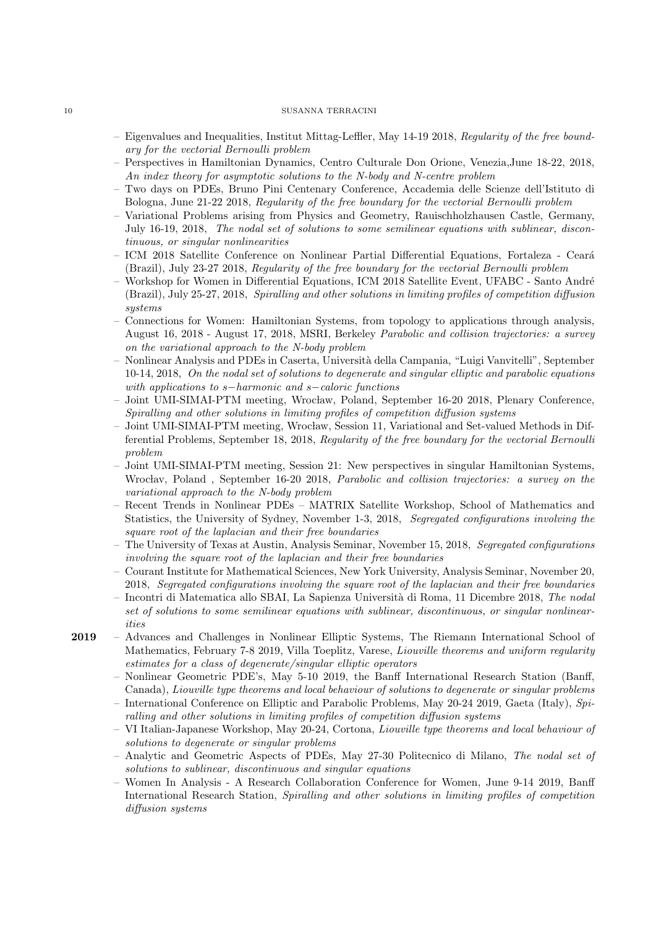- Eigenvalues and Inequalities, Institut Mittag-Leffler, May 14-19 2018, Regularity of the free boundary for the vectorial Bernoulli problem
- Perspectives in Hamiltonian Dynamics, Centro Culturale Don Orione, Venezia,June 18-22, 2018, An index theory for asymptotic solutions to the N-body and N-centre problem
- Two days on PDEs, Bruno Pini Centenary Conference, Accademia delle Scienze dell'Istituto di Bologna, June 21-22 2018, Regularity of the free boundary for the vectorial Bernoulli problem
- Variational Problems arising from Physics and Geometry, Rauischholzhausen Castle, Germany, July 16-19, 2018, The nodal set of solutions to some semilinear equations with sublinear, discontinuous, or singular nonlinearities
- ICM 2018 Satellite Conference on Nonlinear Partial Differential Equations, Fortaleza Cear´a (Brazil), July 23-27 2018, Regularity of the free boundary for the vectorial Bernoulli problem
- Workshop for Women in Differential Equations, ICM 2018 Satellite Event, UFABC Santo André (Brazil), July 25-27, 2018, Spiralling and other solutions in limiting profiles of competition diffusion systems
- Connections for Women: Hamiltonian Systems, from topology to applications through analysis, August 16, 2018 - August 17, 2018, MSRI, Berkeley Parabolic and collision trajectories: a survey on the variational approach to the N-body problem
- Nonlinear Analysis and PDEs in Caserta, Universit`a della Campania, "Luigi Vanvitelli", September 10-14, 2018, On the nodal set of solutions to degenerate and singular elliptic and parabolic equations with applications to s−harmonic and s−caloric functions
- Joint UMI-SIMAI-PTM meeting, Wrocław, Poland, September 16-20 2018, Plenary Conference, Spiralling and other solutions in limiting profiles of competition diffusion systems
- Joint UMI-SIMAI-PTM meeting, Wrocław, Session 11, Variational and Set-valued Methods in Differential Problems, September 18, 2018, Regularity of the free boundary for the vectorial Bernoulli problem
- Joint UMI-SIMAI-PTM meeting, Session 21: New perspectives in singular Hamiltonian Systems, Wrocłav, Poland, September 16-20 2018, Parabolic and collision trajectories: a survey on the variational approach to the N-body problem
- Recent Trends in Nonlinear PDEs MATRIX Satellite Workshop, School of Mathematics and Statistics, the University of Sydney, November 1-3, 2018, Segregated configurations involving the square root of the laplacian and their free boundaries
- The University of Texas at Austin, Analysis Seminar, November 15, 2018, Segregated configurations involving the square root of the laplacian and their free boundaries
- Courant Institute for Mathematical Sciences, New York University, Analysis Seminar, November 20, 2018, Segregated configurations involving the square root of the laplacian and their free boundaries
- Incontri di Matematica allo SBAI, La Sapienza Universit`a di Roma, 11 Dicembre 2018, The nodal set of solutions to some semilinear equations with sublinear, discontinuous, or singular nonlinearities
- 2019 Advances and Challenges in Nonlinear Elliptic Systems, The Riemann International School of Mathematics, February 7-8 2019, Villa Toeplitz, Varese, Liouville theorems and uniform regularity estimates for a class of degenerate/singular elliptic operators
	- Nonlinear Geometric PDE's, May 5-10 2019, the Banff International Research Station (Banff, Canada), Liouville type theorems and local behaviour of solutions to degenerate or singular problems
	- International Conference on Elliptic and Parabolic Problems, May 20-24 2019, Gaeta (Italy), Spiralling and other solutions in limiting profiles of competition diffusion systems
	- VI Italian-Japanese Workshop, May 20-24, Cortona, Liouville type theorems and local behaviour of solutions to degenerate or singular problems
	- Analytic and Geometric Aspects of PDEs, May 27-30 Politecnico di Milano, The nodal set of solutions to sublinear, discontinuous and singular equations
	- Women In Analysis A Research Collaboration Conference for Women, June 9-14 2019, Banff International Research Station, Spiralling and other solutions in limiting profiles of competition diffusion systems